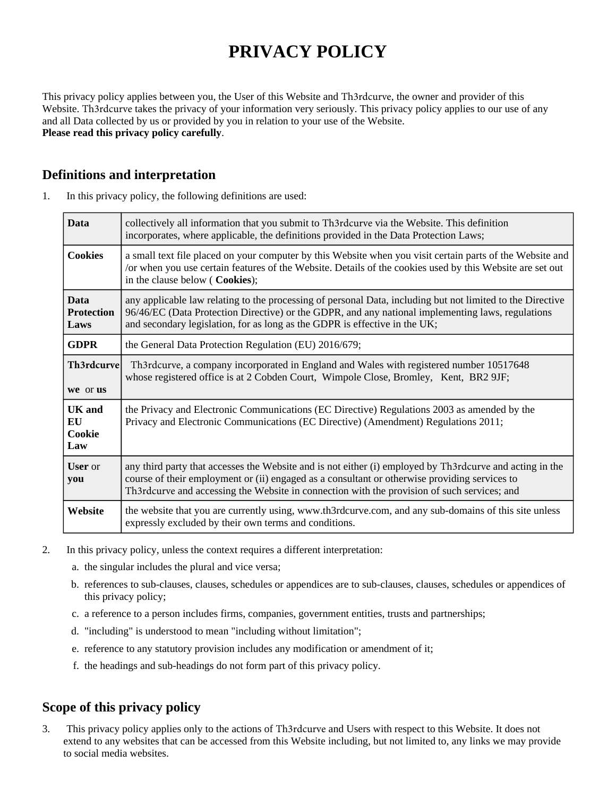# **PRIVACY POLICY**

This privacy policy applies between you, the User of this Website and Th3rdcurve, the owner and provider of this Website. Th3rdcurve takes the privacy of your information very seriously. This privacy policy applies to our use of any and all Data collected by us or provided by you in relation to your use of the Website. **Please read this privacy policy carefully**.

# **Definitions and interpretation**

| 1. | In this privacy policy, the following definitions are used: |  |  |
|----|-------------------------------------------------------------|--|--|
|----|-------------------------------------------------------------|--|--|

| <b>Data</b>                              | collectively all information that you submit to Th3rdcurve via the Website. This definition<br>incorporates, where applicable, the definitions provided in the Data Protection Laws;                                                                                                                     |  |
|------------------------------------------|----------------------------------------------------------------------------------------------------------------------------------------------------------------------------------------------------------------------------------------------------------------------------------------------------------|--|
| <b>Cookies</b>                           | a small text file placed on your computer by this Website when you visit certain parts of the Website and<br>/or when you use certain features of the Website. Details of the cookies used by this Website are set out<br>in the clause below (Cookies);                                                 |  |
| <b>Data</b><br><b>Protection</b><br>Laws | any applicable law relating to the processing of personal Data, including but not limited to the Directive<br>96/46/EC (Data Protection Directive) or the GDPR, and any national implementing laws, regulations<br>and secondary legislation, for as long as the GDPR is effective in the UK;            |  |
| <b>GDPR</b>                              | the General Data Protection Regulation (EU) 2016/679;                                                                                                                                                                                                                                                    |  |
| Th3rdcurve<br>we or us                   | Th3rdcurve, a company incorporated in England and Wales with registered number 10517648<br>whose registered office is at 2 Cobden Court, Wimpole Close, Bromley, Kent, BR2 9JF;                                                                                                                          |  |
| <b>UK</b> and<br>EU<br>Cookie<br>Law     | the Privacy and Electronic Communications (EC Directive) Regulations 2003 as amended by the<br>Privacy and Electronic Communications (EC Directive) (Amendment) Regulations 2011;                                                                                                                        |  |
| <b>User</b> or<br>you                    | any third party that accesses the Website and is not either (i) employed by Th3rdcurve and acting in the<br>course of their employment or (ii) engaged as a consultant or otherwise providing services to<br>Th3rdcurve and accessing the Website in connection with the provision of such services; and |  |
| Website                                  | the website that you are currently using, www.th3rdcurve.com, and any sub-domains of this site unless<br>expressly excluded by their own terms and conditions.                                                                                                                                           |  |

- 2. In this privacy policy, unless the context requires a different interpretation:
	- a. the singular includes the plural and vice versa;
	- b. references to sub-clauses, clauses, schedules or appendices are to sub-clauses, clauses, schedules or appendices of this privacy policy;
	- c. a reference to a person includes firms, companies, government entities, trusts and partnerships;
	- d. "including" is understood to mean "including without limitation";
	- e. reference to any statutory provision includes any modification or amendment of it;
	- f. the headings and sub-headings do not form part of this privacy policy.

# **Scope of this privacy policy**

3. This privacy policy applies only to the actions of Th3rdcurve and Users with respect to this Website. It does not extend to any websites that can be accessed from this Website including, but not limited to, any links we may provide to social media websites.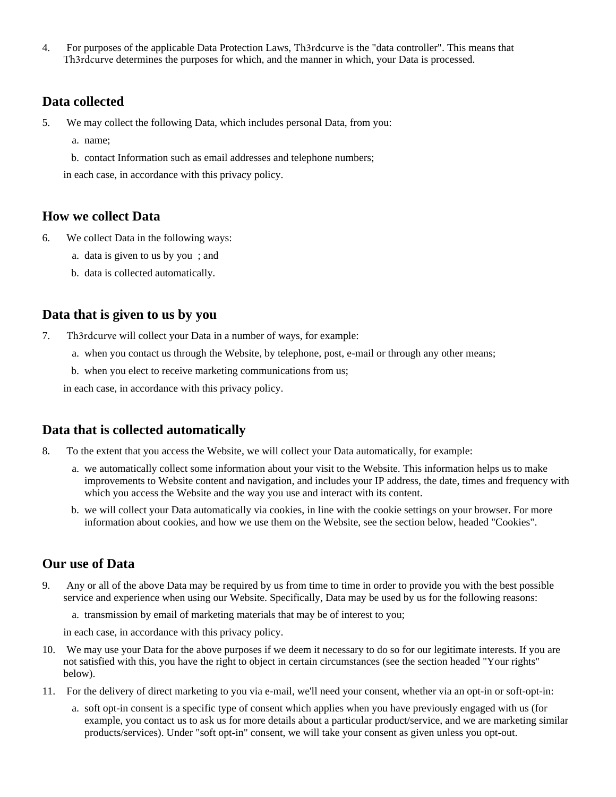4. For purposes of the applicable Data Protection Laws, Th3rdcurve is the "data controller". This means that Th3rdcurve determines the purposes for which, and the manner in which, your Data is processed.

#### **Data collected**

- 5. We may collect the following Data, which includes personal Data, from you:
	- a. name;
	- b. contact Information such as email addresses and telephone numbers;

in each case, in accordance with this privacy policy.

#### **How we collect Data**

- 6. We collect Data in the following ways:
	- a. data is given to us by you ; and
	- b. data is collected automatically.

#### **Data that is given to us by you**

- 7. Th3rdcurve will collect your Data in a number of ways, for example:
	- a. when you contact us through the Website, by telephone, post, e-mail or through any other means;
	- b. when you elect to receive marketing communications from us;

in each case, in accordance with this privacy policy.

#### **Data that is collected automatically**

- 8. To the extent that you access the Website, we will collect your Data automatically, for example:
	- a. we automatically collect some information about your visit to the Website. This information helps us to make improvements to Website content and navigation, and includes your IP address, the date, times and frequency with which you access the Website and the way you use and interact with its content.
	- b. we will collect your Data automatically via cookies, in line with the cookie settings on your browser. For more information about cookies, and how we use them on the Website, see the section below, headed "Cookies".

## **Our use of Data**

- 9. Any or all of the above Data may be required by us from time to time in order to provide you with the best possible service and experience when using our Website. Specifically, Data may be used by us for the following reasons:
	- a. transmission by email of marketing materials that may be of interest to you;

in each case, in accordance with this privacy policy.

- 10. We may use your Data for the above purposes if we deem it necessary to do so for our legitimate interests. If you are not satisfied with this, you have the right to object in certain circumstances (see the section headed "Your rights" below).
- 11. For the delivery of direct marketing to you via e-mail, we'll need your consent, whether via an opt-in or soft-opt-in:
	- a. soft opt-in consent is a specific type of consent which applies when you have previously engaged with us (for example, you contact us to ask us for more details about a particular product/service, and we are marketing similar products/services). Under "soft opt-in" consent, we will take your consent as given unless you opt-out.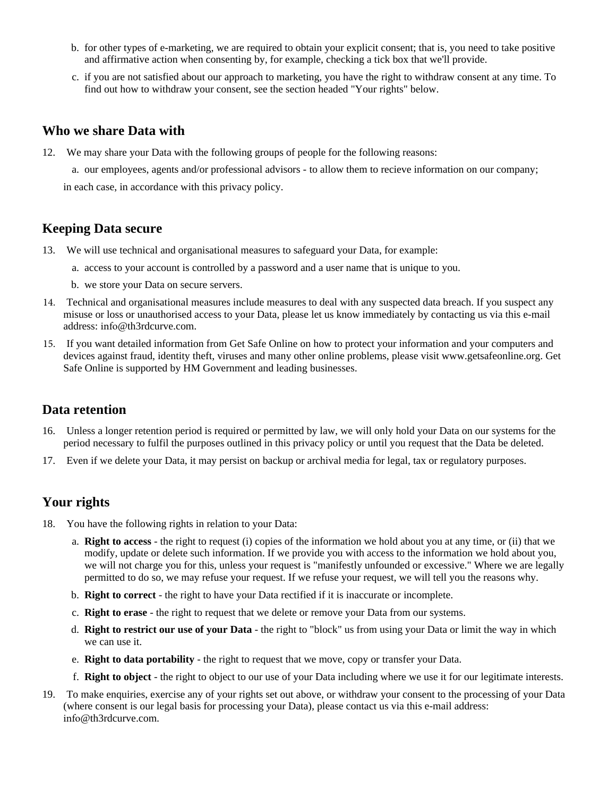- b. for other types of e-marketing, we are required to obtain your explicit consent; that is, you need to take positive and affirmative action when consenting by, for example, checking a tick box that we'll provide.
- c. if you are not satisfied about our approach to marketing, you have the right to withdraw consent at any time. To find out how to withdraw your consent, see the section headed "Your rights" below.

#### **Who we share Data with**

12. We may share your Data with the following groups of people for the following reasons:

a. our employees, agents and/or professional advisors - to allow them to recieve information on our company;

in each case, in accordance with this privacy policy.

#### **Keeping Data secure**

- 13. We will use technical and organisational measures to safeguard your Data, for example:
	- a. access to your account is controlled by a password and a user name that is unique to you.
	- b. we store your Data on secure servers.
- 14. Technical and organisational measures include measures to deal with any suspected data breach. If you suspect any misuse or loss or unauthorised access to your Data, please let us know immediately by contacting us via this e-mail address: info@th3rdcurve.com.
- 15. If you want detailed information from Get Safe Online on how to protect your information and your computers and devices against fraud, identity theft, viruses and many other online problems, please visit www.getsafeonline.org. Get Safe Online is supported by HM Government and leading businesses.

#### **Data retention**

- 16. Unless a longer retention period is required or permitted by law, we will only hold your Data on our systems for the period necessary to fulfil the purposes outlined in this privacy policy or until you request that the Data be deleted.
- 17. Even if we delete your Data, it may persist on backup or archival media for legal, tax or regulatory purposes.

## **Your rights**

- 18. You have the following rights in relation to your Data:
	- a. **Right to access** the right to request (i) copies of the information we hold about you at any time, or (ii) that we modify, update or delete such information. If we provide you with access to the information we hold about you, we will not charge you for this, unless your request is "manifestly unfounded or excessive." Where we are legally permitted to do so, we may refuse your request. If we refuse your request, we will tell you the reasons why.
	- b. **Right to correct** the right to have your Data rectified if it is inaccurate or incomplete.
	- c. **Right to erase** the right to request that we delete or remove your Data from our systems.
	- d. **Right to restrict our use of your Data** the right to "block" us from using your Data or limit the way in which we can use it.
	- e. **Right to data portability** the right to request that we move, copy or transfer your Data.
	- f. **Right to object** the right to object to our use of your Data including where we use it for our legitimate interests.
- 19. To make enquiries, exercise any of your rights set out above, or withdraw your consent to the processing of your Data (where consent is our legal basis for processing your Data), please contact us via this e-mail address: info@th3rdcurve.com.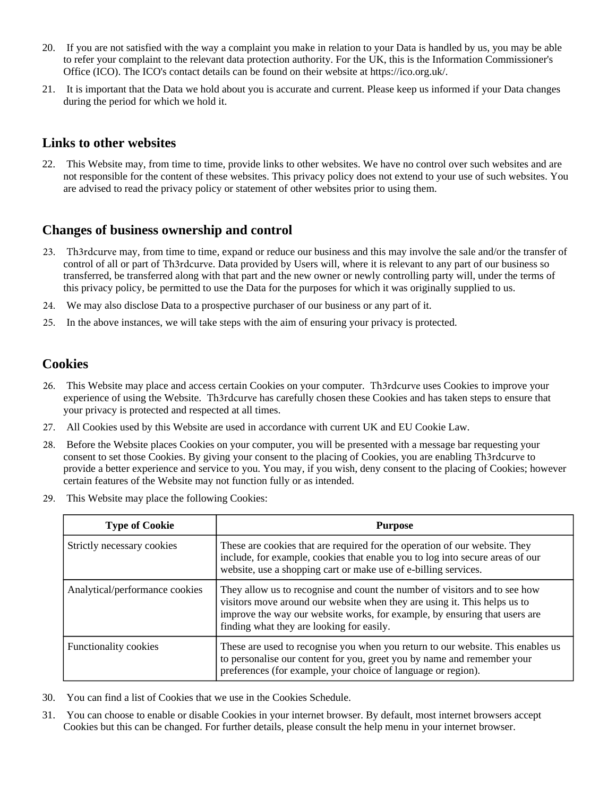- 20. If you are not satisfied with the way a complaint you make in relation to your Data is handled by us, you may be able to refer your complaint to the relevant data protection authority. For the UK, this is the Information Commissioner's Office (ICO). The ICO's contact details can be found on their website at https://ico.org.uk/.
- 21. It is important that the Data we hold about you is accurate and current. Please keep us informed if your Data changes during the period for which we hold it.

#### **Links to other websites**

22. This Website may, from time to time, provide links to other websites. We have no control over such websites and are not responsible for the content of these websites. This privacy policy does not extend to your use of such websites. You are advised to read the privacy policy or statement of other websites prior to using them.

#### **Changes of business ownership and control**

- 23. Th3rdcurve may, from time to time, expand or reduce our business and this may involve the sale and/or the transfer of control of all or part of Th3rdcurve. Data provided by Users will, where it is relevant to any part of our business so transferred, be transferred along with that part and the new owner or newly controlling party will, under the terms of this privacy policy, be permitted to use the Data for the purposes for which it was originally supplied to us.
- 24. We may also disclose Data to a prospective purchaser of our business or any part of it.
- 25. In the above instances, we will take steps with the aim of ensuring your privacy is protected.

## **Cookies**

- 26. This Website may place and access certain Cookies on your computer. Th3rdcurve uses Cookies to improve your experience of using the Website. Th3rdcurve has carefully chosen these Cookies and has taken steps to ensure that your privacy is protected and respected at all times.
- 27. All Cookies used by this Website are used in accordance with current UK and EU Cookie Law.
- 28. Before the Website places Cookies on your computer, you will be presented with a message bar requesting your consent to set those Cookies. By giving your consent to the placing of Cookies, you are enabling Th3rdcurve to provide a better experience and service to you. You may, if you wish, deny consent to the placing of Cookies; however certain features of the Website may not function fully or as intended.
- 29. This Website may place the following Cookies:

| <b>Type of Cookie</b>          | <b>Purpose</b>                                                                                                                                                                                                                                                                     |
|--------------------------------|------------------------------------------------------------------------------------------------------------------------------------------------------------------------------------------------------------------------------------------------------------------------------------|
| Strictly necessary cookies     | These are cookies that are required for the operation of our website. They<br>include, for example, cookies that enable you to log into secure areas of our<br>website, use a shopping cart or make use of e-billing services.                                                     |
| Analytical/performance cookies | They allow us to recognise and count the number of visitors and to see how<br>visitors move around our website when they are using it. This helps us to<br>improve the way our website works, for example, by ensuring that users are<br>finding what they are looking for easily. |
| <b>Functionality cookies</b>   | These are used to recognise you when you return to our website. This enables us<br>to personalise our content for you, greet you by name and remember your<br>preferences (for example, your choice of language or region).                                                        |

- 30. You can find a list of Cookies that we use in the Cookies Schedule.
- 31. You can choose to enable or disable Cookies in your internet browser. By default, most internet browsers accept Cookies but this can be changed. For further details, please consult the help menu in your internet browser.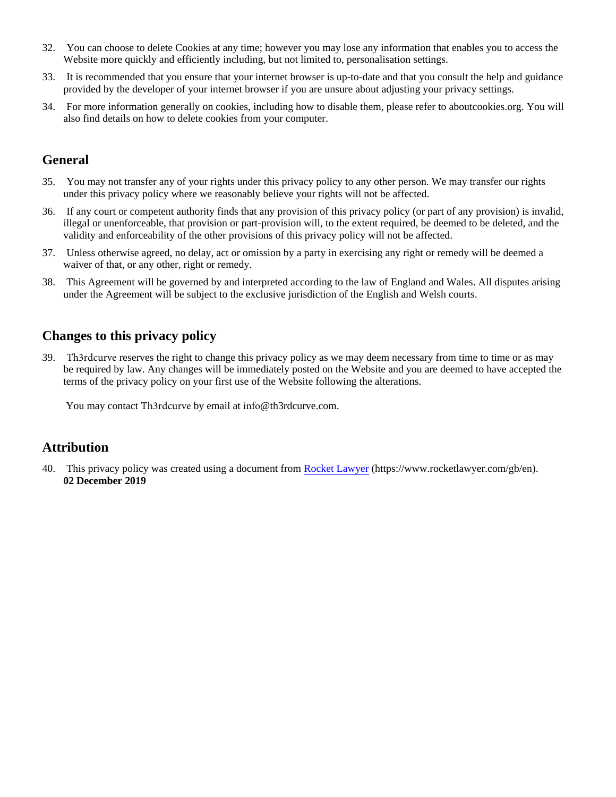- 32. You can choose to delete Cookies at any time; however you may lose any information that enables you to access the Website more quickly and efficiently including, but not limited to, personalisation settings.
- 33. It is recommended that you ensure that your internet browser is up-to-date and that you consult the help and guidance provided by the developer of your internet browser if you are unsure about adjusting your privacy settings.
- 34. For more information generally on cookies, including how to disable them, please refer to aboutcookies.org. You will also find details on how to delete cookies from your computer.

# **General**

- 35. You may not transfer any of your rights under this privacy policy to any other person. We may transfer our rights under this privacy policy where we reasonably believe your rights will not be affected.
- 36. If any court or competent authority finds that any provision of this privacy policy (or part of any provision) is invalid, illegal or unenforceable, that provision or part-provision will, to the extent required, be deemed to be deleted, and the validity and enforceability of the other provisions of this privacy policy will not be affected.
- 37. Unless otherwise agreed, no delay, act or omission by a party in exercising any right or remedy will be deemed a waiver of that, or any other, right or remedy.
- 38. This Agreement will be governed by and interpreted according to the law of England and Wales. All disputes arising under the Agreement will be subject to the exclusive jurisdiction of the English and Welsh courts.

# **Changes to this privacy policy**

39. Th3rdcurve reserves the right to change this privacy policy as we may deem necessary from time to time or as may be required by law. Any changes will be immediately posted on the Website and you are deemed to have accepted the terms of the privacy policy on your first use of the Website following the alterations.

You may contact Th3rdcurve by email at info@th3rdcurve.com.

## **Attribution**

40. This privacy policy was created using a document from [Rocket Lawyer](https://www.rocketlawyer.com/gb/en/) (https://www.rocketlawyer.com/gb/en). **02 December 2019**